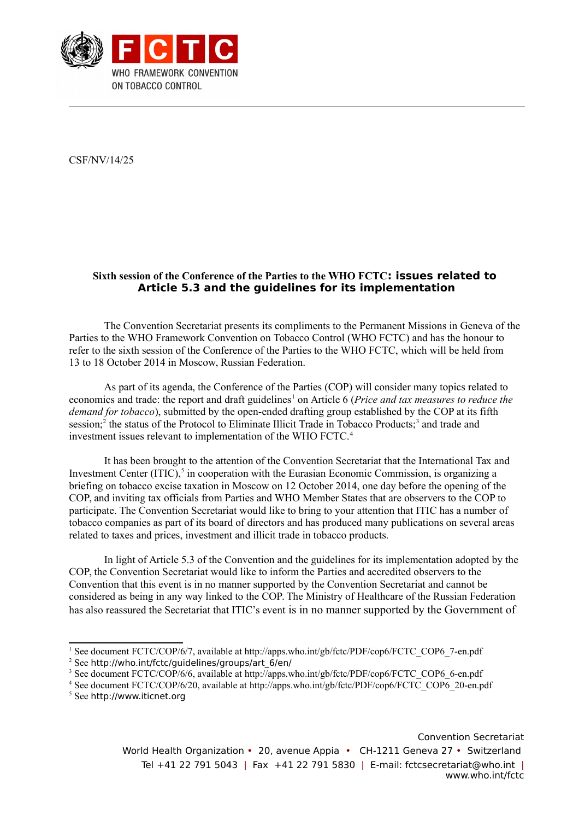

CSF/NV/14/25

## **Sixth session of the Conference of the Parties to the WHO FCTC: issues related to Article 5.3 and the guidelines for its implementation**

The Convention Secretariat presents its compliments to the Permanent Missions in Geneva of the Parties to the WHO Framework Convention on Tobacco Control (WHO FCTC) and has the honour to refer to the sixth session of the Conference of the Parties to the WHO FCTC, which will be held from 13 to 18 October 2014 in Moscow, Russian Federation.

As part of its agenda, the Conference of the Parties (COP) will consider many topics related to economics and trade: the report and draft guidelines<sup>[1](#page-0-0)</sup> on Article 6 (*Price and tax measures to reduce the demand for tobacco*), submitted by the open-ended drafting group established by the COP at its fifth session;<sup>[2](#page-0-1)</sup> the status of the Protocol to Eliminate Illicit Trade in Tobacco Products;<sup>[3](#page-0-2)</sup> and trade and investment issues relevant to implementation of the WHO FCTC.<sup>[4](#page-0-3)</sup>

It has been brought to the attention of the Convention Secretariat that the International Tax and Investment Center  $(T\text{HC})$ ,<sup>[5](#page-0-4)</sup> in cooperation with the Eurasian Economic Commission, is organizing a briefing on tobacco excise taxation in Moscow on 12 October 2014, one day before the opening of the COP, and inviting tax officials from Parties and WHO Member States that are observers to the COP to participate. The Convention Secretariat would like to bring to your attention that ITIC has a number of tobacco companies as part of its board of directors and has produced many publications on several areas related to taxes and prices, investment and illicit trade in tobacco products.

In light of Article 5.3 of the Convention and the guidelines for its implementation adopted by the COP, the Convention Secretariat would like to inform the Parties and accredited observers to the Convention that this event is in no manner supported by the Convention Secretariat and cannot be considered as being in any way linked to the COP. The Ministry of Healthcare of the Russian Federation has also reassured the Secretariat that ITIC's event is in no manner supported by the Government of

<span id="page-0-4"></span><sup>5</sup> See [http://www.iticnet.org](http://www.iticnet.org/)

<span id="page-0-0"></span><sup>&</sup>lt;sup>1</sup> See document FCTC/COP/6/7, available at http://apps.who.int/gb/fctc/PDF/cop6/FCTC\_COP6\_7-en.pdf

<span id="page-0-1"></span> $2$  See [http://who.int/fctc/guidelines/groups/art\\_6/en/](http://who.int/fctc/guidelines/groups/art_6/en/)

<span id="page-0-2"></span><sup>&</sup>lt;sup>3</sup> See document FCTC/COP/6/6, available at http://apps.who.int/gb/fctc/PDF/cop6/FCTC\_COP6\_6-en.pdf

<span id="page-0-3"></span><sup>&</sup>lt;sup>4</sup> See document FCTC/COP/6/20, available at http://apps.who.int/gb/fctc/PDF/cop6/FCTC\_COP6\_20-en.pdf